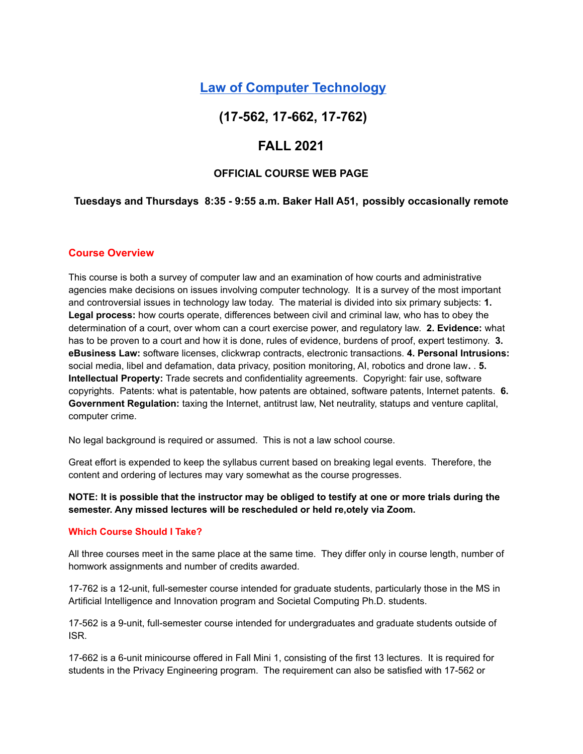# **Law of Computer [Technology](http://euro.ecom.cmu.edu/program/law/08-732/)**

# **(17-562, 17-662, 17-762)**

# **FALL 2021**

## **OFFICIAL COURSE WEB PAGE**

### **Tuesdays and Thursdays 8:35 - 9:55 a.m. Baker Hall A51, possibly occasionally remote**

#### **Course Overview**

This course is both a survey of computer law and an examination of how courts and administrative agencies make decisions on issues involving computer technology. It is a survey of the most important and controversial issues in technology law today. The material is divided into six primary subjects: **1. Legal process:** how courts operate, differences between civil and criminal law, who has to obey the determination of a court, over whom can a court exercise power, and regulatory law. **2. Evidence:** what has to be proven to a court and how it is done, rules of evidence, burdens of proof, expert testimony. **3. eBusiness Law:** software licenses, clickwrap contracts, electronic transactions. **4. Personal Intrusions:** social media, libel and defamation, data privacy, position monitoring, AI, robotics and drone law**.** . **5. Intellectual Property:** Trade secrets and confidentiality agreements. Copyright: fair use, software copyrights. Patents: what is patentable, how patents are obtained, software patents, Internet patents. **6. Government Regulation:** taxing the Internet, antitrust law, Net neutrality, statups and venture caplital, computer crime.

No legal background is required or assumed. This is not a law school course.

Great effort is expended to keep the syllabus current based on breaking legal events. Therefore, the content and ordering of lectures may vary somewhat as the course progresses.

NOTE: It is possible that the instructor may be obliged to testify at one or more trials during the **semester. Any missed lectures will be rescheduled or held re,otely via Zoom.**

#### **Which Course Should I Take?**

All three courses meet in the same place at the same time. They differ only in course length, number of homwork assignments and number of credits awarded.

17-762 is a 12-unit, full-semester course intended for graduate students, particularly those in the MS in Artificial Intelligence and Innovation program and Societal Computing Ph.D. students.

17-562 is a 9-unit, full-semester course intended for undergraduates and graduate students outside of ISR.

17-662 is a 6-unit minicourse offered in Fall Mini 1, consisting of the first 13 lectures. It is required for students in the Privacy Engineering program. The requirement can also be satisfied with 17-562 or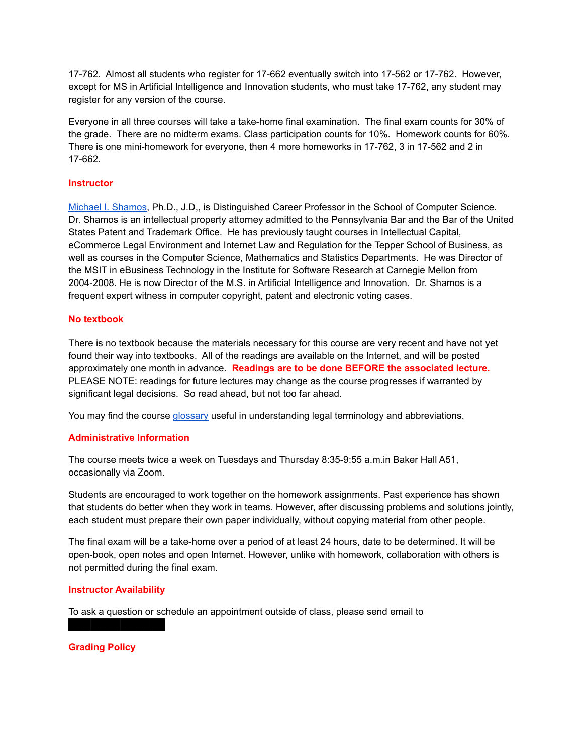17-762. Almost all students who register for 17-662 eventually switch into 17-562 or 17-762. However, except for MS in Artificial Intelligence and Innovation students, who must take 17-762, any student may register for any version of the course.

Everyone in all three courses will take a take-home final examination. The final exam counts for 30% of the grade. There are no midterm exams. Class participation counts for 10%. Homework counts for 60%. There is one mini-homework for everyone, then 4 more homeworks in 17-762, 3 in 17-562 and 2 in 17-662.

### **Instructor**

Michael I. [Shamos](http://euro.ecom.cmu.edu/shamos.html), Ph.D., J.D,, is Distinguished Career Professor in the School of Computer Science. Dr. Shamos is an intellectual property attorney admitted to the Pennsylvania Bar and the Bar of the United States Patent and Trademark Office. He has previously taught courses in Intellectual Capital, eCommerce Legal Environment and Internet Law and Regulation for the Tepper School of Business, as well as courses in the Computer Science, Mathematics and Statistics Departments. He was Director of the MSIT in eBusiness Technology in the Institute for Software Research at Carnegie Mellon from 2004-2008. He is now Director of the M.S. in Artificial Intelligence and Innovation. Dr. Shamos is a frequent expert witness in computer copyright, patent and electronic voting cases.

### **No textbook**

There is no textbook because the materials necessary for this course are very recent and have not yet found their way into textbooks. All of the readings are available on the Internet, and will be posted approximately one month in advance. **Readings are to be done BEFORE the associated lecture.** PLEASE NOTE: readings for future lectures may change as the course progresses if warranted by significant legal decisions. So read ahead, but not too far ahead.

You may find the course [glossary](http://euro.ecom.cmu.edu/program/law/08-732/glossary.pdf) useful in understanding legal terminology and abbreviations.

### **Administrative Information**

The course meets twice a week on Tuesdays and Thursday 8:35-9:55 a.m.in Baker Hall A51, occasionally via Zoom.

Students are encouraged to work together on the homework assignments. Past experience has shown that students do better when they work in teams. However, after discussing problems and solutions jointly, each student must prepare their own paper individually, without copying material from other people.

The final exam will be a take-home over a period of at least 24 hours, date to be determined. It will be open-book, open notes and open Internet. However, unlike with homework, collaboration with others is not permitted during the final exam.

### **Instructor Availability**

█████████████

To ask a question or schedule an appointment outside of class, please send email to

**Grading Policy**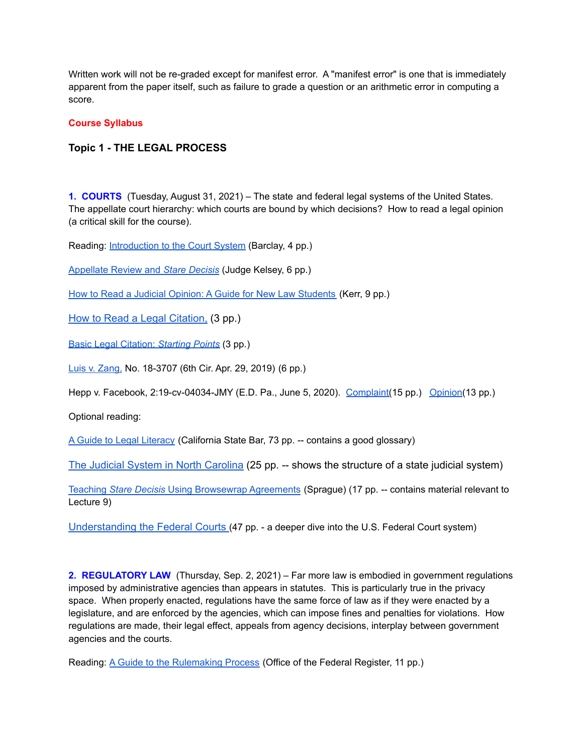Written work will not be re-graded except for manifest error. A "manifest error" is one that is immediately apparent from the paper itself, such as failure to grade a question or an arithmetic error in computing a score.

#### **Course Syllabus**

## **Topic 1 - THE LEGAL PROCESS**

**1. COURTS** (Tuesday, August 31, 2021) – The state and federal legal systems of the United States. The appellate court hierarchy: which courts are bound by which decisions? How to read a legal opinion (a critical skill for the course).

Reading: [Introduction](http://euro.ecom.cmu.edu/program/law/08-732/Courts/0IntroToTheCourtSys.pdf) to the Court System (Barclay, 4 pp.)

[Appellate](http://euro.ecom.cmu.edu/program/law/08-732/Courts/architectjudicialpwr.pdf) Review and *Stare Decisis* (Judge Kelsey, 6 pp.)

How to Read a Judicial Opinion: A Guide for New Law [Students](http://euro.ecom.cmu.edu/program/law/08-732/Courts/howtoreadv2.pdf) (Kerr, 9 pp.)

How to Read a Legal [Citation,](http://euro.ecom.cmu.edu/program/law/08-732/Courts/legalcite.pdf) (3 pp.)

Basic Legal [Citation:](http://euro.ecom.cmu.edu/program/law/08-732/Courts/lrg_alwcit.pdf) *Starting Points* (3 pp.)

Luis v. [Zang,](http://euro.ecom.cmu.edu/program/law/08-732/Courts/LuisvZangAppeal.pdf) No. 18-3707 (6th Cir. Apr. 29, 2019) (6 pp.)

Hepp v. Facebook, 2:19-cv-04034-JMY (E.D. Pa., June 5, 2020). [Complaint\(](http://euro.ecom.cmu.edu/program/law/08-732/Courts/HeppVFacebookComplaint.pdf)15 pp.) [Opinion\(](http://euro.ecom.cmu.edu/program/law/08-732/Courts/HeppVFacebook.pdf)13 pp.)

Optional reading:

A Guide to Legal [Literacy](http://euro.ecom.cmu.edu/program/law/08-732/Courts/legalliteracy2001.pdf) (California State Bar, 73 pp. -- contains a good glossary)

The Judicial System in North [Carolina](http://euro.ecom.cmu.edu/program/law/08-732/Courts/NorthCarolinaJudicialSystem.pdf) (25 pp. -- shows the structure of a state judicial system)

Teaching *Stare Decisis* Using [Browsewrap](http://euro.ecom.cmu.edu/program/law/08-732/Courts/SpragueStareDecisis.pdf) Agreements (Sprague) (17 pp. -- contains material relevant to Lecture 9)

[Understanding](http://euro.ecom.cmu.edu/program/law/08-732/Courts/UnderstandingTheFederalCourts.pdf) the Federal Courts (47 pp. - a deeper dive into the U.S. Federal Court system)

**2. REGULATORY LAW** (Thursday, Sep. 2, 2021) – Far more law is embodied in government regulations imposed by administrative agencies than appears in statutes. This is particularly true in the privacy space. When properly enacted, regulations have the same force of law as if they were enacted by a legislature, and are enforced by the agencies, which can impose fines and penalties for violations. How regulations are made, their legal effect, appeals from agency decisions, interplay between government agencies and the courts.

Reading: A Guide to the [Rulemaking](http://euro.ecom.cmu.edu/program/law/08-732/Regulatory/rulemakingguide.pdf) Process (Office of the Federal Register, 11 pp.)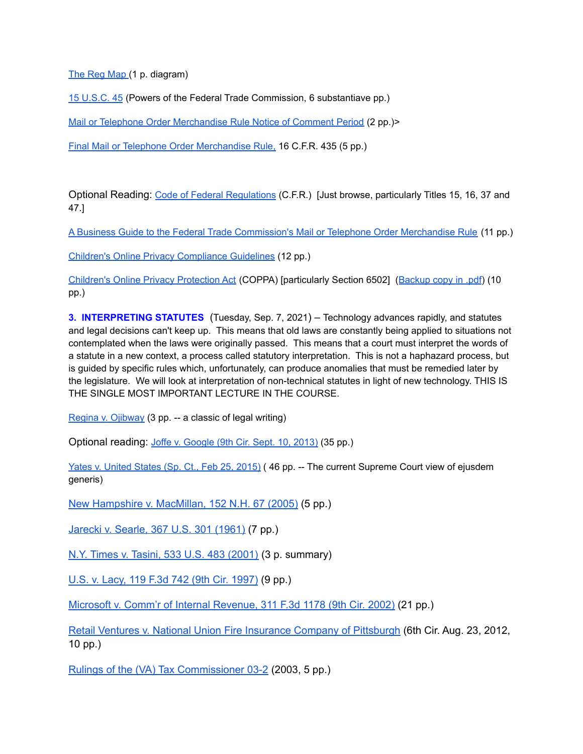The Reg [Map](http://euro.ecom.cmu.edu/program/law/08-732/Regulatory/regmap.pdf) (1 p. diagram)

15 [U.S.C.](http://euro.ecom.cmu.edu/program/law/08-732/Regulatory/15USC45.pdf) 45 (Powers of the Federal Trade Commission, 6 substantiave pp.)

Mail or Telephone Order [Merchandise](http://euro.ecom.cmu.edu/program/law/08-732/Regulatory/2013-10405.pdf) Rule Notice of Comment Period (2 pp.)>

Final Mail or Telephone Order [Merchandise](http://euro.ecom.cmu.edu/program/law/08-732/Regulatory/16CFR435-MTOR.pdf) Rule, 16 C.F.R. 435 (5 pp.)

Optional Reading: Code of Federal [Regulations](http://www.ecfr.gov/cgi-bin/ECFR?page=browse) (C.F.R.) [Just browse, particularly Titles 15, 16, 37 and 47.]

A Business Guide to the Federal Trade [Commission's](http://euro.ecom.cmu.edu/program/law/08-732/Regulatory/MTORBusinessGuide.pdf) Mail or Telephone Order Merchandise Rule (11 pp.)

Children's Online Privacy [Compliance](http://euro.ecom.cmu.edu/program/law/08-732/Regulatory/CoppaRuleSteps.pdf) Guidelines (12 pp.[\)](http://www.law.cornell.edu/uscode/text/15/chapter-91)

Children's Online Privacy [Protection](http://www.law.cornell.edu/uscode/text/15/chapter-91) Act (COPPA) [particularly Section 6502] ([Backup](http://euro.ecom.cmu.edu/program/law/08-732/Regulatory/coppa.pdf) copy in .pdf) (10 pp.)

**3. INTERPRETING STATUTES** (Tuesday, Sep. 7, 2021) – Technology advances rapidly, and statutes and legal decisions can't keep up. This means that old laws are constantly being applied to situations not contemplated when the laws were originally passed. This means that a court must interpret the words of a statute in a new context, a process called statutory interpretation. This is not a haphazard process, but is guided by specific rules which, unfortunately, can produce anomalies that must be remedied later by the legislature. We will look at interpretation of non-technical statutes in light of new technology. THIS IS THE SINGLE MOST IMPORTANT LECTURE IN THE COURSE.

Regina v. [Ojibway](http://euro.ecom.cmu.edu/program/law/08-732/Interpretation/regina.pdf) (3 pp. -- a classic of legal writing)

Optional reading: Joffe v. [Google](http://euro.ecom.cmu.edu/program/law/08-732/Interpretation/JoffeVGoogle.pdf) (9th Cir. Sept. 10, 2013) (35 pp.)

Yates v. [United](http://euro.ecom.cmu.edu/program/law/08-732/Interpretation/Yates-Ejusdem.pdf) States (Sp. Ct., Feb 25, 2015) (46 pp. -- The current Supreme Court view of ejusdem generis)

New [Hampshire](http://euro.ecom.cmu.edu/program/law/08-732/Interpretation/NHvMacmillan.pdf) v. MacMillan, 152 N.H. 67 (2005) (5 pp.)

Jarecki v. [Searle,](http://euro.ecom.cmu.edu/program/law/08-732/Interpretation/JareckiVSearle.pdf) 367 U.S. 301 (1961) (7 pp.)

N.Y. Times v. Tasini, 533 U.S. 483 [\(2001\)](http://euro.ecom.cmu.edu/program/law/08-732/Interpretation/NYTvTasini.pdf) (3 p. summary)

U.S. v. Lacy, 119 F.3d 742 (9th Cir. [1997\)](http://euro.ecom.cmu.edu/program/law/08-732/Interpretation/USvLacy.pdf) (9 pp.)

Microsoft v. Comm'r of Internal [Revenue,](http://euro.ecom.cmu.edu/program/law/08-732/Interpretation/MicrfsoftVIRS.pdf) 311 F.3d 1178 (9th Cir. 2002) (21 pp.)

Retail Ventures v. National Union Fire Insurance Company of [Pittsburgh](http://euro.ecom.cmu.edu/program/law/08-732/Interpretation/RetailVentures.pdf) (6th Cir. Aug. 23, 2012, 10 pp.)

Rulings of the (VA) Tax [Commissioner](http://euro.ecom.cmu.edu/program/law/08-732/Interpretation/VATaxCommissioner.pdf) 03-2 (2003, 5 pp.)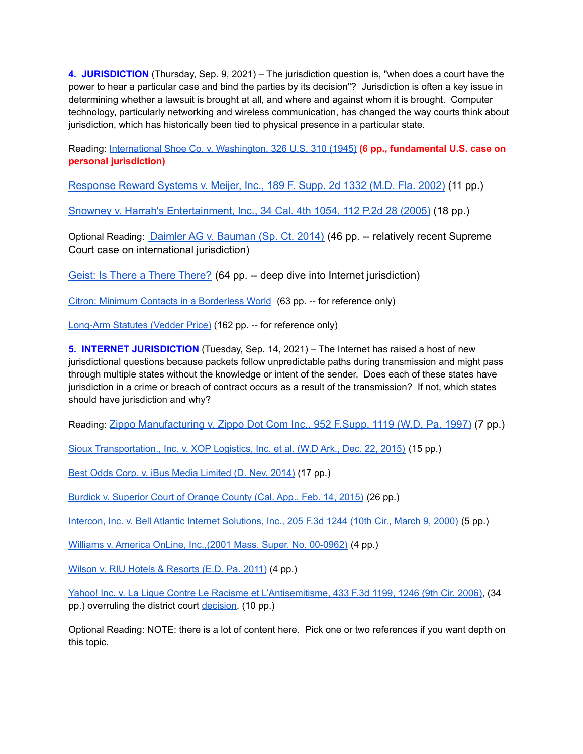**4. JURISDICTION** (Thursday, Sep. 9, 2021) – The jurisdiction question is, "when does a court have the power to hear a particular case and bind the parties by its decision"? Jurisdiction is often a key issue in determining whether a lawsuit is brought at all, and where and against whom it is brought. Computer technology, particularly networking and wireless communication, has changed the way courts think about jurisdiction, which has historically been tied to physical presence in a particular state.

Reading: International Shoe Co. v. [Washington,](http://euro.ecom.cmu.edu/program/law/08-732/Jurisdiction/IntlShoe.pdf) 326 U.S. 310 (1945) **(6 pp., fundamental U.S. case on personal jurisdiction)**

[Response](http://euro.ecom.cmu.edu/program/law/08-732/Jurisdiction/ResponseRewardVMeijer.pdf) Reward Systems v. Meijer, Inc., 189 F. Supp. 2d 1332 (M.D. Fla. 2002) (11 pp.)

Snowney v. Harrah's [Entertainment,](http://euro.ecom.cmu.edu/program/law/08-732/Jurisdiction/SnowneyVHarrahs.pdf) Inc., 34 Cal. 4th 1054, 112 P.2d 28 (2005) (18 pp.)

Optional Reading: Daimler AG v. [Bauman](http://euro.ecom.cmu.edu/program/law/08-732/Jurisdiction/Daimler.pdf) (Sp. Ct. 2014) (46 pp. -- relatively recent Supreme Court case on international jurisdiction)

Geist: Is There a There [There?](http://euro.ecom.cmu.edu/program/law/08-732/Jurisdiction/GeistInternetJurisdiction.pdf) (64 pp. -- deep dive into Internet jurisdiction)

Citron: Minimum Contacts in a [Borderless](http://euro.ecom.cmu.edu/program/law/08-732/Jurisdiction/Citron.pdf) World (63 pp. -- for reference only)

[Long-Arm](http://euro.ecom.cmu.edu/program/law/08-732/Jurisdiction/LongArmSurvey.pdf) Statutes (Vedder Price) (162 pp. -- for reference only)

**5. INTERNET JURISDICTION** (Tuesday, Sep. 14, 2021) – The Internet has raised a host of new jurisdictional questions because packets follow unpredictable paths during transmission and might pass through multiple states without the knowledge or intent of the sender. Does each of these states have jurisdiction in a crime or breach of contract occurs as a result of the transmission? If not, which states should have jurisdiction and why?

Reading: Zippo [Manufacturing](http://euro.ecom.cmu.edu/program/law/08-732/Jurisdiction/Zippo%20Mfr_%20Co.pdf) v. Zippo Dot Com Inc., 952 F.Supp. 1119 (W.D. Pa. 1997) (7 pp.)

Sioux [Transportation.,](http://euro.ecom.cmu.edu/program/law/08-732/Jurisdiction/Sioux.pdf) Inc. v. XOP Logistics, Inc. et al. (W.D Ark., Dec. 22, 2015) (15 pp.)

Best Odds Corp. v. iBus Media [Limited](http://euro.ecom.cmu.edu/program/law/08-732/Jurisdiction/BestOdds.pdf) (D. Nev. 2014) (17 pp.)

Burdick v. [Superior](http://euro.ecom.cmu.edu/program/law/08-732/Jurisdiction/Burdick.pdf) Court of Orange County (Cal. App., Feb. 14, 2015) (26 pp.)

Intercon, Inc. v. Bell Atlantic Internet [Solutions,](http://euro.ecom.cmu.edu/program/law/08-732/Jurisdiction/InterconVBellAtlantic.pdf) Inc., 205 F.3d 1244 (10th Cir., March 9, 2000) (5 pp.)

Williams v. America OnLine, [Inc.,\(2001](http://euro.ecom.cmu.edu/program/law/08-732/Jurisdiction/WilliamsVAOL.pdf) Mass. Super. No. 00-0962) (4 pp.)

Wilson v. RIU Hotels & [Resorts](http://euro.ecom.cmu.edu/program/law/08-732/Jurisdiction/WilsonVRIU.pdf) (E.D. Pa. 2011) (4 pp.)

Yahoo! Inc. v. La Ligue Contre Le Racisme et [L'Antisemitisme,](http://euro.ecom.cmu.edu/program/law/08-732/Jurisdiction/YahooNinthCircuit.pdf) 433 F.3d 1199, 1246 (9th Cir. 2006), (34 pp.) overruling the district court [decision.](http://euro.ecom.cmu.edu/program/law/08-732/Jurisdiction/YahooVLicra.pdf) (10 pp.)

Optional Reading: NOTE: there is a lot of content here. Pick one or two references if you want depth on this topic.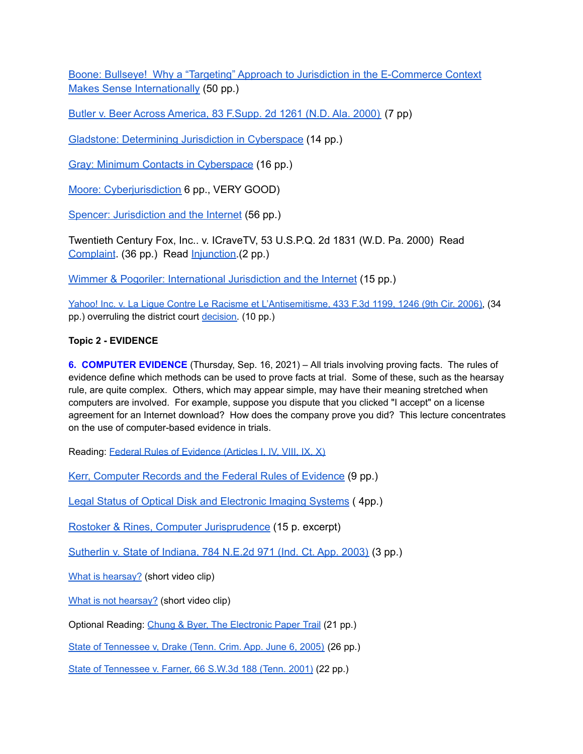Boone: Bullseye! Why a "Targeting" Approach to Jurisdiction in the [E-Commerce](http://euro.ecom.cmu.edu/program/law/08-732/Jurisdiction/BooneBullseye.pdf) Context Makes Sense [Internationally](http://euro.ecom.cmu.edu/program/law/08-732/Jurisdiction/BooneBullseye.pdf) (50 pp.)

Butler v. Beer Across [America,](http://euro.ecom.cmu.edu/program/law/08-732/Jurisdiction/ButlerBeer.pdf) 83 F.Supp. 2d 1261 (N.D. Ala. 2000) (7 pp)

Gladstone: [Determining](http://euro.ecom.cmu.edu/program/law/08-732/Jurisdiction/GladstoneDeterminingJurisdiction.pdf) Jurisdiction in Cyberspace (14 pp.)

Gray: Minimum Contacts in [Cyberspace](http://euro.ecom.cmu.edu/program/law/08-732/Jurisdiction/GrayMinimumContacts.pdf) (16 pp.)

Moore: [Cyberjurisdiction](http://euro.ecom.cmu.edu/program/law/08-732/Jurisdiction/Cyberjurisdiction.pdf) 6 pp., VERY GOOD)

Spencer: [Jurisdiction](http://euro.ecom.cmu.edu/program/law/08-732/Jurisdiction/Spencer.pdf) and the Internet (56 pp.)

Twentieth Century Fox, Inc.. v. ICraveTV, 53 U.S.P.Q. 2d 1831 (W.D. Pa. 2000) Read [Complaint](http://euro.ecom.cmu.edu/program/law/08-732/Jurisdiction/icravetvcomplaint.pdf). (36 pp.) Read [Injunction.](http://euro.ecom.cmu.edu/program/law/08-732/Jurisdiction/icravetvinjunction.pdf)(2 pp.)

Wimmer & Pogoriler: [International](http://euro.ecom.cmu.edu/program/law/08-732/Jurisdiction/InternationalJurisdiction.pdf) Jurisdiction and the Internet (15 pp.)

Yahoo! Inc. v. La Ligue Contre Le Racisme et [L'Antisemitisme,](http://euro.ecom.cmu.edu/program/law/08-732/Jurisdiction/YahooNinthCircuit.pdf) 433 F.3d 1199, 1246 (9th Cir. 2006), (34 pp.) overruling the district court [decision.](http://euro.ecom.cmu.edu/program/law/08-732/Jurisdiction/YahooVLicra.pdf) (10 pp.)

## **Topic 2 - EVIDENCE**

**6. COMPUTER EVIDENCE** (Thursday, Sep. 16, 2021) – All trials involving proving facts. The rules of evidence define which methods can be used to prove facts at trial. Some of these, such as the hearsay rule, are quite complex. Others, which may appear simple, may have their meaning stretched when computers are involved. For example, suppose you dispute that you clicked "I accept" on a license agreement for an Internet download? How does the company prove you did? This lecture concentrates on the use of computer-based evidence in trials.

Reading: Federal Rules of [Evidence](http://www.law.cornell.edu/rules/fre/) (Articles I, IV, VIII, IX, X)

Kerr, [Computer](http://euro.ecom.cmu.edu/program/law/08-732/Evidence/KerrComputerRecords.pdf) Records and the Federal Rules of Evidence (9 pp.)

Legal Status of Optical Disk and [Electronic](http://euro.ecom.cmu.edu/program/law/08-732/Evidence/OpticalRecords.pdf) Imaging Systems ( 4pp.)

Rostoker & Rines, Computer [Jurisprudence](http://euro.ecom.cmu.edu/program/law/08-732/Evidence/RostokerRines.pdf) (15 p. excerpt)

[Sutherlin](http://euro.ecom.cmu.edu/program/law/08-732/Evidence/SutherlinVIndiana.pdf) v. State of Indiana, 784 N.E.2d 971 (Ind. Ct. App. 2003) (3 pp.)

What is [hearsay?](https://www.youtube.com/watch?v=oc4sIdpAOwg) (short video clip)

What is not [hearsay?](https://www.youtube.com/watch?v=0uguH95NRQQ) (short video clip)

Optional Reading: Chung & Byer, The [Electronic](http://euro.ecom.cmu.edu/program/law/08-732/Evidence/ChungByer.pdf) Paper Trail (21 pp.)

State of [Tennessee](http://euro.ecom.cmu.edu/program/law/08-732/Evidence/StateOfTennesseevDrake.pdf) v, Drake (Tenn. Crim. App. June 6, 2005) (26 pp.)

State of [Tennessee](http://euro.ecom.cmu.edu/program/law/08-732/Evidence/StateOfTennesseevFarner.pdf) v. Farner, 66 S.W.3d 188 (Tenn. 2001) (22 pp.)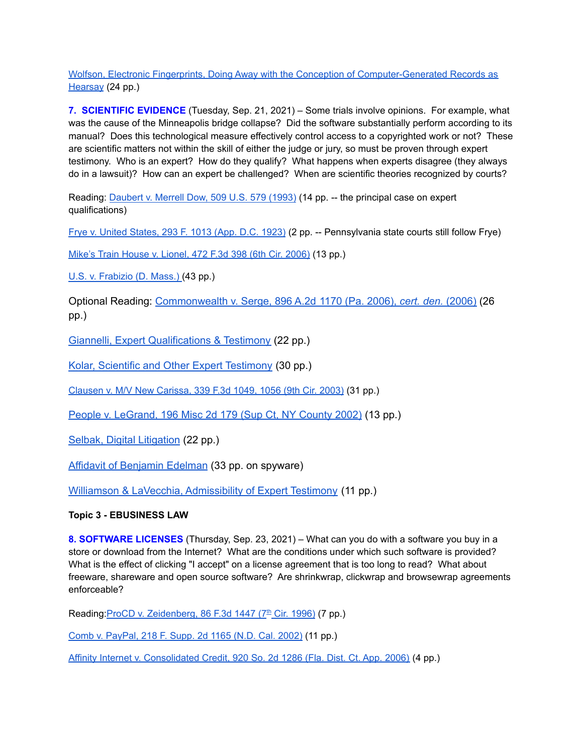Wolfson, Electronic Fingerprints, Doing Away with the Conception of [Computer-Generated](http://euro.ecom.cmu.edu/program/law/08-732/Evidence/Wolfson.pdf) Records as [Hearsay](http://euro.ecom.cmu.edu/program/law/08-732/Evidence/Wolfson.pdf) (24 pp.)

**7. SCIENTIFIC EVIDENCE** (Tuesday, Sep. 21, 2021) – Some trials involve opinions. For example, what was the cause of the Minneapolis bridge collapse? Did the software substantially perform according to its manual? Does this technological measure effectively control access to a copyrighted work or not? These are scientific matters not within the skill of either the judge or jury, so must be proven through expert testimony. Who is an expert? How do they qualify? What happens when experts disagree (they always do in a lawsuit)? How can an expert be challenged? When are scientific theories recognized by courts?

Reading: [Daubert](http://euro.ecom.cmu.edu/program/law/08-732/Evidence/Daubert-Dow.pdf) v. Merrell Dow, 509 U.S. 579 (1993) (14 pp. -- the principal case on expert qualifications)

Frye v. United [States,](http://euro.ecom.cmu.edu/program/law/08-732/Evidence/FryeVUS.pdf) 293 F. 1013 (App. D.C. 1923) (2 pp. -- Pennsylvania state courts still follow Frye)

Mike's Train House v. [Lionel,](http://euro.ecom.cmu.edu/program/law/08-732/Evidence/MikesVLionel.pdf) 472 F.3d 398 (6th Cir. 2006) (13 pp.)

U.S. v. [Frabizio](http://euro.ecom.cmu.edu/program/law/08-732/Evidence/USvFrabizio.pdf) (D. Mass.) (43 pp.)

Optional Reading: [Commonwealth](http://euro.ecom.cmu.edu/program/law/08-732/Evidence/PAvSerge.pdf) v. Serge, 896 A.2d 1170 (Pa. 2006), *cert. den.* (2006) (26 pp.)

Giannelli, Expert [Qualifications](http://euro.ecom.cmu.edu/program/law/08-732/Evidence/Experts.pdf) & Testimony (22 pp.)

Kolar, Scientific and Other Expert [Testimony](http://euro.ecom.cmu.edu/program/law/08-732/Evidence/ScientificTestimony.pdf) (30 pp.)

[Clausen](http://euro.ecom.cmu.edu/program/law/08-732/Evidence/ClausenVMVCarissa.pdf) v. M/V New Carissa, 339 F.3d 1049, 1056 (9th Cir. 2003) (31 pp.)

People v. [LeGrand,](http://euro.ecom.cmu.edu/program/law/08-732/Evidence/PeopleVLeGrand.pdf) 196 Misc 2d 179 (Sup Ct, NY County 2002) (13 pp.)

Selbak, Digital [Litigation](http://euro.ecom.cmu.edu/program/law/08-732/Evidence/Selbak.pdf) (22 pp.)

Affidavit of [Benjamin](http://euro.ecom.cmu.edu/program/law/08-732/Evidence/Edelman.pdf) Edelman (33 pp. on spyware)

Williamson & LaVecchia, [Admissibility](http://euro.ecom.cmu.edu/program/law/08-732/Evidence/ExpertTestimony.pdf) of Expert Testimony (11 pp.)

### **Topic 3 - EBUSINESS LAW**

**8. SOFTWARE LICENSES** (Thursday, Sep. 23, 2021) – What can you do with a software you buy in a store or download from the Internet? What are the conditions under which such software is provided? What is the effect of clicking "I accept" on a license agreement that is too long to read? What about freeware, shareware and open source software? Are shrinkwrap, clickwrap and browsewrap agreements enforceable?

Reading: ProCD v. [Zeidenberg,](http://euro.ecom.cmu.edu/program/law/08-732/Transactions/ProcCDvZeidenberg.pdf) 86 F.3d 1447 (7<sup>th</sup> Cir. 1996) (7 pp.)

Comb v. [PayPal,](http://euro.ecom.cmu.edu/program/law/08-732/Transactions/CombVPaypal.pdf) 218 F. Supp. 2d 1165 (N.D. Cal. 2002) (11 pp.)

Affinity Internet v. [Consolidated](http://euro.ecom.cmu.edu/program/law/08-732/Transactions/AffinityInternet.pdf) Credit, 920 So. 2d 1286 (Fla. Dist. Ct. App. 2006) (4 pp.)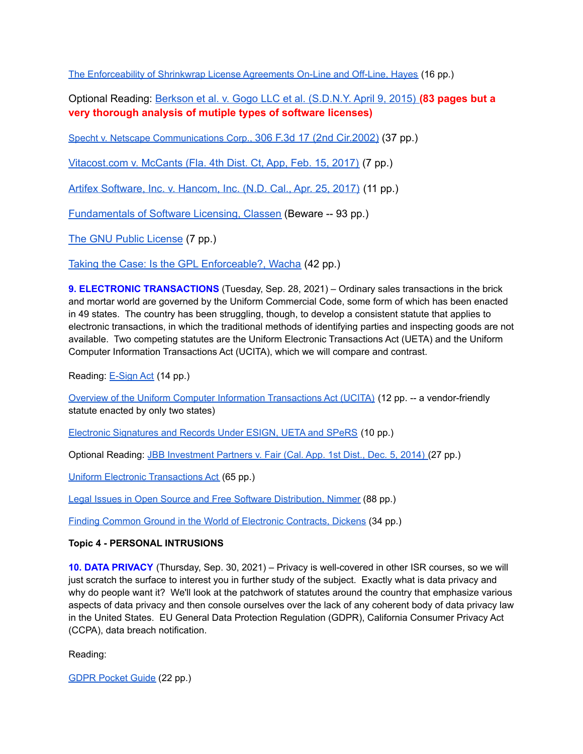The [Enforceability](http://euro.ecom.cmu.edu/program/law/08-732/Transactions/ShrinkwrapFenwick.pdf) of Shrinkwrap License Agreements On-Line and Off-Line, Hayes (16 pp.)

Optional Reading: Berkson et al. v. Gogo LLC et al. [\(S.D.N.Y.](http://euro.ecom.cmu.edu/program/law/08-732/Transactions/Berkson-v-Gogo.pdf) April 9, 2015) **(83 pages but a very thorough analysis of mutiple types of software licenses)**

Specht v. Netscape [Communications](http://euro.ecom.cmu.edu/program/law/08-732/Transactions/SpechtVNetscape.pdf) Corp., 306 F.3d 17 (2nd Cir.2002) (37 pp.)

[Vitacost.com](http://euro.ecom.cmu.edu/program/law/08-732/Transactions/VitacostVMcCants.pdf) v. McCants (Fla. 4th Dist. Ct, App, Feb. 15, 2017) (7 pp.)

Artifex [Software,](http://euro.ecom.cmu.edu/program/law/08-732/Transactions/ArtifexVHanson.pdf) Inc. v. Hancom, Inc. (N.D. Cal., Apr. 25, 2017) (11 pp.)

[Fundamentals](http://euro.ecom.cmu.edu/program/law/08-732/Transactions/Fundamentals.pdf) of Software Licensing, Classen (Beware -- 93 pp.)

The GNU Public [License](http://euro.ecom.cmu.edu/program/law/08-732/Transactions/GNU.pdf) (7 pp.)

Taking the Case: Is the GPL [Enforceable?,](http://euro.ecom.cmu.edu/program/law/08-732/Transactions/TakingTheCase.pdf) Wacha (42 pp.)

**9. ELECTRONIC TRANSACTIONS** (Tuesday, Sep. 28, 2021) – Ordinary sales transactions in the brick and mortar world are governed by the Uniform Commercial Code, some form of which has been enacted in 49 states. The country has been struggling, though, to develop a consistent statute that applies to electronic transactions, in which the traditional methods of identifying parties and inspecting goods are not available. Two competing statutes are the Uniform Electronic Transactions Act (UETA) and the Uniform Computer Information Transactions Act (UCITA), which we will compare and contrast.

Reading: [E-Sign](http://euro.ecom.cmu.edu/program/law/08-732/Transactions/esign.pdf) Act (14 pp.)

Overview of the Uniform Computer Information [Transactions](http://euro.ecom.cmu.edu/program/law/08-732/Transactions/UCITAOverview.pdf) Act (UCITA) (12 pp. -- a vendor-friendly statute enacted by only two states)

Electronic [Signatures](http://euro.ecom.cmu.edu/program/law/08-732/Transactions/ElectronicSignatures.pdf) and Records Under ESIGN, UETA and SPeRS (10 pp.)

Optional Reading: JBB [Investment](http://euro.ecom.cmu.edu/program/law/08-732/Transactions/JBBvFair-esign.pdf) Partners v. Fair (Cal. App. 1st Dist., Dec. 5, 2014) (27 pp.)

Uniform Electronic [Transactions](http://euro.ecom.cmu.edu/program/law/08-732/Transactions/ueta.pdf) Act (65 pp.)

Legal Issues in Open Source and Free Software [Distribution,](http://euro.ecom.cmu.edu/program/law/08-732/Transactions/LegalIssuesNimmer.pdf) Nimmer (88 pp.)

Finding Common Ground in the World of Electronic [Contracts,](http://euro.ecom.cmu.edu/program/law/08-732/Transactions/FindingCommonGround.pdf) Dickens (34 pp.)

### **Topic 4 - PERSONAL INTRUSIONS**

**10. DATA PRIVACY** (Thursday, Sep. 30, 2021) – Privacy is well-covered in other ISR courses, so we will just scratch the surface to interest you in further study of the subject. Exactly what is data privacy and why do people want it? We'll look at the patchwork of statutes around the country that emphasize various aspects of data privacy and then console ourselves over the lack of any coherent body of data privacy law in the United States. EU General Data Protection Regulation (GDPR), California Consumer Privacy Act (CCPA), data breach notification.

Reading:

GDPR [Pocket](http://euro.ecom.cmu.edu/program/law/08-732/Privacy/GDPRPocketGuide.pdf) Guide (22 pp.)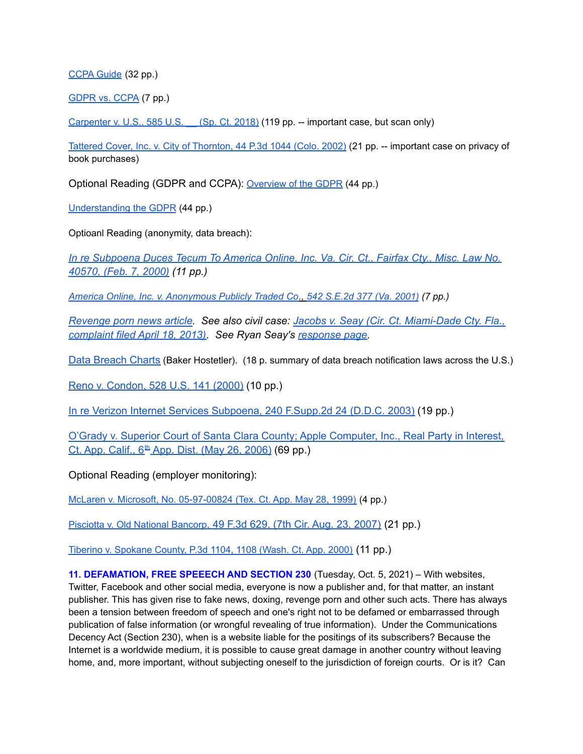### [CCPA](http://euro.ecom.cmu.edu/program/law/08-732/Privacy/CCPAGuide.pdf) Guide (32 pp.)

[GDPR](http://euro.ecom.cmu.edu/program/law/08-732/Privacy/GDPRvCCPA.pdf) vs. CCPA (7 pp.)

[Carpenter](http://euro.ecom.cmu.edu/program/law/08-732/Privacy/CarpentervUS.pdf) v. U.S., 585 U.S. (Sp. Ct. 2018) (119 pp. -- important case, but scan only)

Tattered Cover, Inc. v. City of [Thornton,](http://euro.ecom.cmu.edu/program/law/08-732/Privacy/tatteredcover.pdf) 44 P.3d 1044 (Colo. 2002) (21 pp. -- important case on privacy of book purchases)

Optional Reading (GDPR and CCPA): [Overview](http://euro.ecom.cmu.edu/program/law/08-732/Privacy/overview-of-the-gdpr-1-13.pdf) of the GDPR (44 pp.)

[Understanding](http://euro.ecom.cmu.edu/program/law/08-732/Privacy/understanding-the-gdpr.pdf) the GDPR (44 pp.)

Optioanl Reading (anonymity, data breach):

*In re [Subpoena](http://euro.ecom.cmu.edu/program/law/08-732/Privacy/anonymousaol.pdf) Duces Tecum To America Online. Inc. Va. Cir. Ct., Fairfax Cty., Misc. Law No. [40570,](http://euro.ecom.cmu.edu/program/law/08-732/Privacy/anonymousaol.pdf) (Feb. 7, 2000) (11 pp.)*

*America Online, Inc. v. [Anonymous](http://euro.ecom.cmu.edu/program/law/08-732/Privacy/anonymousaolappeal.pdf) Publicly Traded Co., 542 S.E.2d 377 (Va. 2001) (7 pp.)*

*[Revenge](http://euro.ecom.cmu.edu/program/law/08-732/Privacy/Jacobs.pdf) porn news article. See also civil case: Jacobs v. Seay (Cir. Ct. [Miami-Dade](http://euro.ecom.cmu.edu/program/law/08-732/Privacy/JacobsvSeay.pdf) Cty. Fla., [complaint](http://euro.ecom.cmu.edu/program/law/08-732/Privacy/JacobsvSeay.pdf) filed April 18, 2013). See Ryan Seay's [response](http://jacobsvsseay.com/) page.*

Data [Breach](http://euro.ecom.cmu.edu/program/law/08-732/Privacy/Data_Breach_Charts%28BakerHostetler%29.pdf) Charts (Baker Hostetler). (18 p. summary of data breach notification laws across the U.S.)

Reno v. [Condon,](http://euro.ecom.cmu.edu/program/law/08-732/Privacy/RenoVCondon.pdf) 528 U.S. 141 (2000) (10 pp.)

In re Verizon Internet Services [Subpoena,](http://euro.ecom.cmu.edu/program/law/08-732/Privacy/doeVRIAA.pdf) 240 F.Supp.2d 24 (D.D.C. 2003) (19 pp.)

O'Grady v. Superior Court of Santa Clara County; Apple [Computer,](http://euro.ecom.cmu.edu/program/law/08-732/Privacy/OGrady.pdf) Inc., Real Party in Interest, Ct. App. [Calif.,](http://euro.ecom.cmu.edu/program/law/08-732/Privacy/OGrady.pdf) 6<sup>th</sup> App. Dist. (May 26, 2006) (69 pp.)

Optional Reading (employer monitoring):

McLaren v. Microsoft, No. [05-97-00824](http://euro.ecom.cmu.edu/program/law/08-732/Privacy/McLarenvMicrosoft.pdf) (Tex. Ct. App. May 28, 1999) (4 pp.)

[Pisciotta](http://euro.ecom.cmu.edu/program/law/08-732/Privacy/PisciottavBancorp.pdf) v. Old National Bancorp, 49 F.3d 629, (7th Cir. Aug. 23, 2007) (21 pp.)

Tiberino v. [Spokane](http://euro.ecom.cmu.edu/program/law/08-732/Privacy/tiberino.pdf) County, P.3d 1104, 1108 (Wash. Ct. App. 2000) (11 pp.)

**11. DEFAMATION, FREE SPEEECH AND SECTION 230** (Tuesday, Oct. 5, 2021) – With websites, Twitter, Facebook and other social media, everyone is now a publisher and, for that matter, an instant publisher. This has given rise to fake news, doxing, revenge porn and other such acts. There has always been a tension between freedom of speech and one's right not to be defamed or embarrassed through publication of false information (or wrongful revealing of true information). Under the Communications Decency Act (Section 230), when is a website liable for the positings of its subscribers? Because the Internet is a worldwide medium, it is possible to cause great damage in another country without leaving home, and, more important, without subjecting oneself to the jurisdiction of foreign courts. Or is it? Can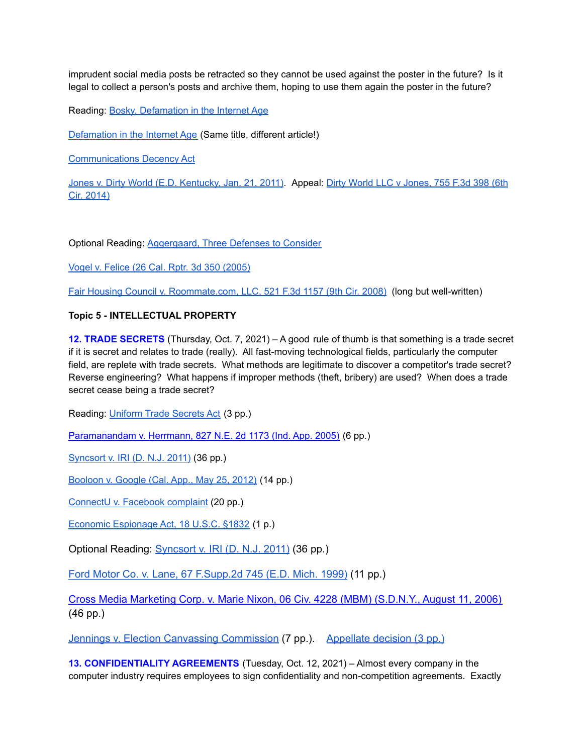imprudent social media posts be retracted so they cannot be used against the poster in the future? Is it legal to collect a person's posts and archive them, hoping to use them again the poster in the future?

Reading: Bosky, [Defamation](http://euro.ecom.cmu.edu/program/law/08-732/Defamation/Bosky.pdf) in the Internet Age

[Defamation](http://euro.ecom.cmu.edu/program/law/08-732/Defamation/Defamation-Internet-Age.pdf) in the Internet Age (Same title, different article!)

[Communications](http://euro.ecom.cmu.edu/program/law/08-732/Defamation/CDA230.pdf) Decency Act

Jones v. Dirty World (E.D. [Kentucky,](http://euro.ecom.cmu.edu/program/law/08-732/Defamation/JonesvDirtyWorld.pdf) Jan. 21, 2011). Appeal: Dirty World LLC v [Jones,](http://euro.ecom.cmu.edu/program/law/08-732/Defamation/JonesAppeal.pdf) 755 F.3d 398 (6th Cir. [2014\)](http://euro.ecom.cmu.edu/program/law/08-732/Defamation/JonesAppeal.pdf)

Optional Reading: [Aggergaard,](http://euro.ecom.cmu.edu/program/law/08-732/Defamation/Aggergaard.pdf) Three Defenses to Consider

Vogel v. Felice (26 Cal. Rptr. 3d 350 [\(2005\)](http://euro.ecom.cmu.edu/program/law/08-732/Defamation/VogelvFelice.pdf)

Fair Housing Council v. [Roommate.com,](http://euro.ecom.cmu.edu/program/law/08-732/Defamation/Roommate.pdf) LLC, 521 F.3d 1157 (9th Cir. 2008) (long but well-written)

#### **Topic 5 - INTELLECTUAL PROPERTY**

**12. TRADE SECRETS** (Thursday, Oct. 7, 2021) – A good rule of thumb is that something is a trade secret if it is secret and relates to trade (really). All fast-moving technological fields, particularly the computer field, are replete with trade secrets. What methods are legitimate to discover a competitor's trade secret? Reverse engineering? What happens if improper methods (theft, bribery) are used? When does a trade secret cease being a trade secret?

Reading: [Uniform](http://euro.ecom.cmu.edu/program/law/08-732/TradeSecrets/utsa.pdf) Trade Secrets Act (3 pp.)

[Paramanandam](http://euro.ecom.cmu.edu/program/law/08-732/TradeSecrets/Paramanandam.pdf) v. Herrmann, 827 N.E. 2d 1173 (Ind. App. 2005) (6 pp.)

[Syncsort](http://euro.ecom.cmu.edu/program/law/08-732/TradeSecrets/SyncSort.pdf) v. IRI (D. N.J. 2011) (36 pp.)

[Booloon](http://euro.ecom.cmu.edu/program/law/08-732/TradeSecrets/booloon.pdf) v. Google (Cal. App., May 25, 2012) (14 pp.)

[ConnectU](http://euro.ecom.cmu.edu/program/law/08-732/TradeSecrets/Connectu.pdf) v. Facebook complaint (20 pp.)

Economic [Espionage](http://euro.ecom.cmu.edu/program/law/08-732/TradeSecrets/1832.pdf) Act, 18 U.S.C. §1832 (1 p.)

Optional Reading: [Syncsort](http://euro.ecom.cmu.edu/program/law/08-732/TradeSecrets/SyncSort.pdf) v. IRI (D. N.J. 2011) (36 pp.)

Ford Motor Co. v. Lane, 67 [F.Supp.2d](http://euro.ecom.cmu.edu/program/law/08-732/TradeSecrets/FordVLane.pdf) 745 (E.D. Mich. 1999) (11 pp.)

Cross Media [Marketing](http://euro.ecom.cmu.edu/program/law/08-732/TradeSecrets/CrossMedia.pdf) Corp. v. Marie Nixon, 06 Civ. 4228 (MBM) (S.D.N.Y., August 11, 2006) (46 pp.)

Jennings v. Election Canvassing [Commission](http://euro.ecom.cmu.edu/program/law/08-732/TradeSecrets/jenningssourcecode.pdf) (7 pp.). [Appellate](http://euro.ecom.cmu.edu/program/law/08-732/TradeSecrets/JenningsAppeal.pdf) decision (3 pp.)

**13. CONFIDENTIALITY AGREEMENTS** (Tuesday, Oct. 12, 2021) – Almost every company in the computer industry requires employees to sign confidentiality and non-competition agreements. Exactly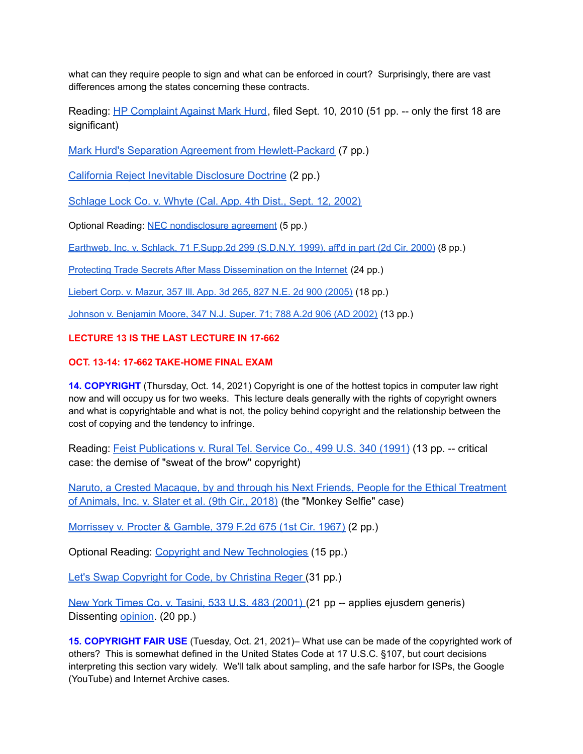what can they require people to sign and what can be enforced in court? Surprisingly, there are vast differences among the states concerning these contracts.

Reading: HP [Complaint](http://euro.ecom.cmu.edu/program/law/08-732/TradeSecrets/HPHurdComplaint.pdf) Against Mark Hurd, filed Sept. 10, 2010 (51 pp. -- only the first 18 are significant)

Mark Hurd's Separation Agreement from [Hewlett-Packard](http://euro.ecom.cmu.edu/program/law/08-732/TradeSecrets/HurdSeparation.pdf) (7 pp.)

California Reject Inevitable [Disclosure](http://euro.ecom.cmu.edu/program/law/08-732/TradeSecrets/Inevitable.pdf) Doctrine (2 pp.)

[Schlage](http://euro.ecom.cmu.edu/program/law/08-732/TradeSecrets/Schlage.pdf) Lock Co. v. Whyte (Cal. App. 4th Dist., Sept. 12, 2002)

Optional Reading: NEC [nondisclosure](http://euro.ecom.cmu.edu/program/law/08-732/TradeSecrets/NECagreement.pdf) agreement (5 pp.)

Earthweb, Inc. v. Schlack, 71 [F.Supp.2d](http://euro.ecom.cmu.edu/program/law/08-732/TradeSecrets/EarthwebVSchlack.pdf) 299 (S.D.N.Y. 1999), aff'd in part (2d Cir. 2000) (8 pp.)

Protecting Trade Secrets After Mass [Dissemination](http://euro.ecom.cmu.edu/program/law/08-732/TradeSecrets/Notes.pdf) on the Internet (24 pp.)

[Liebert](http://euro.ecom.cmu.edu/program/law/08-732/TradeSecrets/LiebertVMazur.pdf) Corp. v. Mazur, 357 Ill. App. 3d 265, 827 N.E. 2d 900 (2005) (18 pp.)

Johnson v. [Benjamin](http://euro.ecom.cmu.edu/program/law/08-732/TradeSecrets/JohnsonVBenjaminMoore.pdf) Moore, 347 N.J. Super. 71; 788 A.2d 906 (AD 2002) (13 pp.)

#### **LECTURE 13 IS THE LAST LECTURE IN 17-662**

#### **OCT. 13-14: 17-662 TAKE-HOME FINAL EXAM**

**14. COPYRIGHT** (Thursday, Oct. 14, 2021) Copyright is one of the hottest topics in computer law right now and will occupy us for two weeks. This lecture deals generally with the rights of copyright owners and what is copyrightable and what is not, the policy behind copyright and the relationship between the cost of copying and the tendency to infringe.

Reading: Feist [Publications](http://euro.ecom.cmu.edu/program/law/08-732/Copyright/FeistVRural.pdf) v. Rural Tel. Service Co., 499 U.S. 340 (1991) (13 pp. -- critical case: the demise of "sweat of the brow" copyright)

Naruto, a Crested Macaque, by and through his Next Friends, People for the Ethical [Treatment](http://euro.ecom.cmu.edu/program/law/08-732/Copyright/Naruto.pdf) of [Animals,](http://euro.ecom.cmu.edu/program/law/08-732/Copyright/Naruto.pdf) Inc. v. Slater et al. (9th Cir., 2018) (the "Monkey Selfie" case)

[Morrissey](http://euro.ecom.cmu.edu/program/law/08-732/Copyright/MorrisseyVProcter.pdf) v. Procter & Gamble, 379 F.2d 675 (1st Cir. 1967) (2 pp.)

Optional Reading: Copyright and New [Technologies](http://euro.ecom.cmu.edu/program/law/08-732/Copyright/CopyrightAndNewTechnologies.pdf) (15 pp.)

Let's Swap [Copyright](http://euro.ecom.cmu.edu/program/law/08-732/Copyright/LetsSwap.pdf) for Code, by Christina Reger (31 pp.)

New York Times Co. v. Tasini, 533 U.S. 483 [\(2001\)](http://euro.ecom.cmu.edu/program/law/08-732/Copyright/Tasini.pdf) (21 pp -- applies ejusdem generis) Dissenting [opinion.](http://euro.ecom.cmu.edu/program/law/08-732/Copyright/TasiniDissent.pdf) (20 pp.)

**15. COPYRIGHT FAIR USE** (Tuesday, Oct. 21, 2021)– What use can be made of the copyrighted work of others? This is somewhat defined in the United States Code at 17 U.S.C. §107, but court decisions interpreting this section vary widely. We'll talk about sampling, and the safe harbor for ISPs, the Google (YouTube) and Internet Archive cases.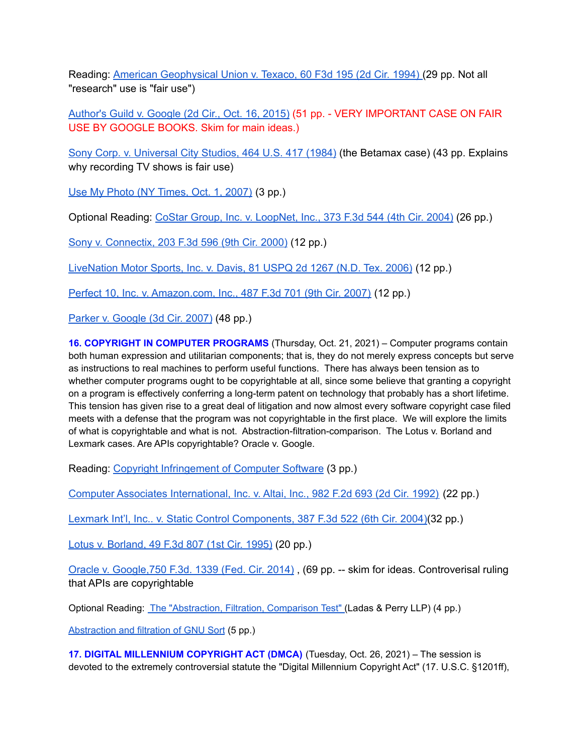Reading: American [Geophysical](http://euro.ecom.cmu.edu/program/law/08-732/Copyright/AGUvTexaco.pdf) Union v. Texaco, 60 F3d 195 (2d Cir. 1994) (29 pp. Not all "research" use is "fair use")

[Author's](http://euro.ecom.cmu.edu/program/law/08-732/Copyright/AuthorsGuildVGoogle.pdf) Guild v. Google (2d Cir., Oct. 16, 2015) (51 pp. - VERY IMPORTANT CASE ON FAIR USE BY GOOGLE BOOKS. Skim for main ideas.)

Sony Corp. v. [Universal](http://euro.ecom.cmu.edu/program/law/08-732/Copyright/SonyVUniversal.pdf) City Studios, 464 U.S. 417 (1984) (the Betamax case) (43 pp. Explains why recording TV shows is fair use)

Use My Photo (NY [Times,](http://euro.ecom.cmu.edu/program/law/08-732/Copyright/UseMyPhoto.pdf) Oct. 1, 2007) (3 pp.)

Optional Reading: CoStar Group, Inc. v. [LoopNet,](http://euro.ecom.cmu.edu/program/law/08-732/Copyright/CoStarVLoopnet.pdf) Inc., 373 F.3d 544 (4th Cir. 2004) (26 pp.)

Sony v. [Connectix,](http://euro.ecom.cmu.edu/program/law/08-732/Copyright/SonyVConnectix.pdf) 203 F.3d 596 (9th Cir. 2000) (12 pp.)

[LiveNation](http://euro.ecom.cmu.edu/program/law/08-732/Copyright/Live-Nation-Motor-Sports-Robert-Davis-Prelim-Injunct-Dist-Crt.pdf) Motor Sports, Inc. v. Davis, 81 USPQ 2d 1267 (N.D. Tex. 2006) (12 pp.)

Perfect 10, Inc. v. [Amazon.com,](http://euro.ecom.cmu.edu/program/law/08-732/Copyright/Perfect-10-Amazon-9th-Cir.pdf) Inc., 487 F.3d 701 (9th Cir. 2007) (12 pp.)

Parker v. [Google](http://euro.ecom.cmu.edu/program/law/08-732/Copyright/ParkerVGoogleAppeal.pdf) (3d Cir. 2007) (48 pp.)

**16. COPYRIGHT IN COMPUTER PROGRAMS** (Thursday, Oct. 21, 2021) – Computer programs contain both human expression and utilitarian components; that is, they do not merely express concepts but serve as instructions to real machines to perform useful functions. There has always been tension as to whether computer programs ought to be copyrightable at all, since some believe that granting a copyright on a program is effectively conferring a long-term patent on technology that probably has a short lifetime. This tension has given rise to a great deal of litigation and now almost every software copyright case filed meets with a defense that the program was not copyrightable in the first place. We will explore the limits of what is copyrightable and what is not. Abstraction-filtration-comparison. The Lotus v. Borland and Lexmark cases. Are APIs copyrightable? Oracle v. Google.

Reading: Copyright [Infringement](http://euro.ecom.cmu.edu/program/law/08-732/Copyright/CopyrightInfringementOfSoftware.pdf) of Computer Software (3 pp.)

Computer Associates [International,](http://euro.ecom.cmu.edu/program/law/08-732/Copyright/ComputerAssociatesVAltai.pdf) Inc. v. Altai, Inc., 982 F.2d 693 (2d Cir. 1992) (22 pp.)

Lexmark Int'l, Inc.. v. Static Control [Components,](http://euro.ecom.cmu.edu/program/law/08-732/Copyright/LexmarkVSCC.pdf) 387 F.3d 522 (6th Cir. 2004)(32 pp.)

Lotus v. [Borland,](http://euro.ecom.cmu.edu/program/law/08-732/Copyright/LotusVBorland.pdf) 49 F.3d 807 (1st Cir. 1995) (20 pp.)

Oracle v. [Google,750](http://euro.ecom.cmu.edu/program/law/08-732/Copyright/OracleVGoogleFedCir.pdf) F.3d. 1339 (Fed. Cir. 2014) , (69 pp. -- skim for ideas. Controverisal ruling that APIs are copyrightable

Optional Reading: The ["Abstraction,](http://euro.ecom.cmu.edu/program/law/08-732/Copyright/Abstraction.pdf) Filtration, Comparison Test" (Ladas & Perry LLP) (4 pp.)

[Abstraction](http://euro.ecom.cmu.edu/program/law/08-732/Copyright/gnusort.pdf) and filtration of GNU Sort (5 pp.)

**17. DIGITAL MILLENNIUM COPYRIGHT ACT (DMCA)** (Tuesday, Oct. 26, 2021) – The session is devoted to the extremely controversial statute the "Digital Millennium Copyright Act" (17. U.S.C. §1201ff),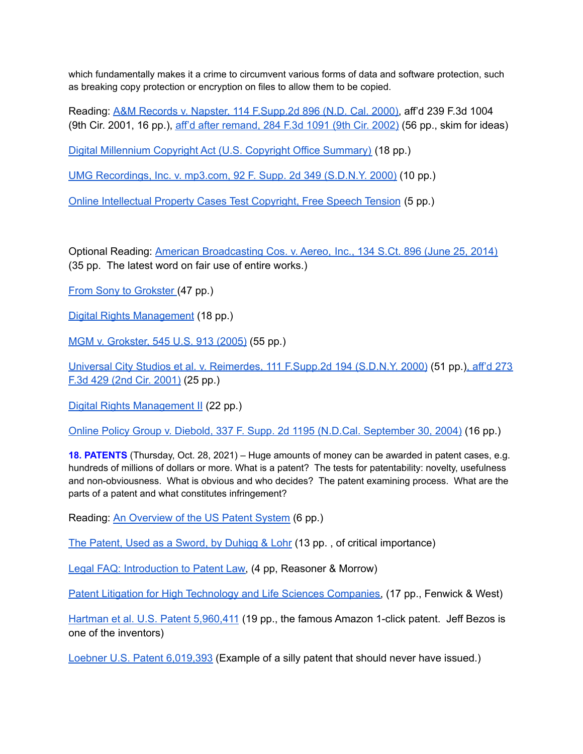which fundamentally makes it a crime to circumvent various forms of data and software protection, such as breaking copy protection or encryption on files to allow them to be copied.

Reading: A&M Records v. Napster, 114 [F.Supp.2d](http://euro.ecom.cmu.edu/program/law/08-732/Copyright/AMvNapster.pdf) 896 (N.D. Cal. 2000), aff'd 239 F.3d 1004 (9th Cir. 2001, 16 pp.), aff'd after [remand,](http://euro.ecom.cmu.edu/program/law/08-732/Copyright/AMvNapsterAppeal.pdf) 284 F.3d 1091 (9th Cir. 2002) (56 pp., skim for ideas)

Digital [Millennium](http://euro.ecom.cmu.edu/program/law/08-732/Copyright/DMCA.pdf) Copyright Act (U.S. Copyright Office Summary) (18 pp.)

UMG [Recordings,](http://euro.ecom.cmu.edu/program/law/08-732/Copyright/UMGvMP3.pdf) Inc. v. mp3.com, 92 F. Supp. 2d 349 (S.D.N.Y. 2000) (10 pp.)

Online [Intellectual](http://euro.ecom.cmu.edu/program/law/08-732/Copyright/Online.pdf) Property Cases Test Copyright, Free Speech Tension (5 pp.)

Optional Reading: American [Broadcasting](http://euro.ecom.cmu.edu/program/law/08-732/Copyright/Aereo.pdf) Cos. v. Aereo, Inc., 134 S.Ct. 896 (June 25, 2014) (35 pp. The latest word on fair use of entire works.)

From Sony to [Grokster](http://euro.ecom.cmu.edu/program/law/08-732/Copyright/FromSonyToGrokster.pdf) (47 pp.)

Digital Rights [Management](http://euro.ecom.cmu.edu/program/law/08-732/Copyright/DRM.pdf) (18 pp.)

MGM v. [Grokster,](http://euro.ecom.cmu.edu/program/law/08-732/Copyright/MGM_v_Grokster.pdf) 545 U.S. 913 (2005) (55 pp.)

Universal City Studios et al. v. [Reimerdes,](http://euro.ecom.cmu.edu/program/law/08-732/Copyright/Universal%20City%20Studios%20v_%20Reimerdes.pdf) 111 F.Supp.2d 194 (S.D.N.Y. 2000) (51 pp.), [aff'd](http://euro.ecom.cmu.edu/program/law/08-732/Copyright/DRM2.pdf) [273](http://euro.ecom.cmu.edu/program/law/08-732/Copyright/Universal%20City%20Studios%20v_%20ReimerdesAppeal.pdf) F.3d 429 (2nd Cir. [2001\)](http://euro.ecom.cmu.edu/program/law/08-732/Copyright/Universal%20City%20Studios%20v_%20ReimerdesAppeal.pdf) (25 pp.)

Digital Rights [Management](http://euro.ecom.cmu.edu/program/law/08-732/Copyright/DRM2.pdf) II (22 pp.)

Online Policy Group v. Diebold, 337 F. Supp. 2d 1195 (N.D.Cal. [September](http://euro.ecom.cmu.edu/program/law/08-732/Copyright/Online-Policy-Diebold-9-30-04.pdf) 30, 2004) (16 pp.)

**18. PATENTS** (Thursday, Oct. 28, 2021) – Huge amounts of money can be awarded in patent cases, e.g. hundreds of millions of dollars or more. What is a patent? The tests for patentability: novelty, usefulness and non-obviousness. What is obvious and who decides? The patent examining process. What are the parts of a patent and what constitutes infringement?

Reading: An [Overview](http://euro.ecom.cmu.edu/program/law/08-732/Patents/PatentOverview.pdf) of the US Patent System (6 pp.)

The Patent, Used as a Sword, by [Duhigg](http://euro.ecom.cmu.edu/program/law/08-732/Patents/20121008NYT-Patent-Wars.pdf) & Lohr (13 pp. , of critical importance)

Legal FAQ: [Introduction](http://euro.ecom.cmu.edu/program/law/08-732/Patents/LegalFAQ.pdf) to Patent Law, (4 pp, Reasoner & Morrow)

Patent Litigation for High Technology and Life Sciences [Companies,](http://euro.ecom.cmu.edu/program/law/08-732/Patents/PatentLitigation.pdf) (17 pp., Fenwick & West)

Hartman et al. U.S. Patent [5,960,411](http://euro.ecom.cmu.edu/program/law/08-732/Patents/HartmanEt5960411.pdf) (19 pp., the famous Amazon 1-click patent. Jeff Bezos is one of the inventors)

Loebner U.S. Patent [6,019,393](http://euro.ecom.cmu.edu/program/law/08-732/Patents/Loebner6019939.pdf) (Example of a silly patent that should never have issued.[\)](http://euro.ecom.cmu.edu/program/law/08-732/Patents/YangEt6536068.pdf)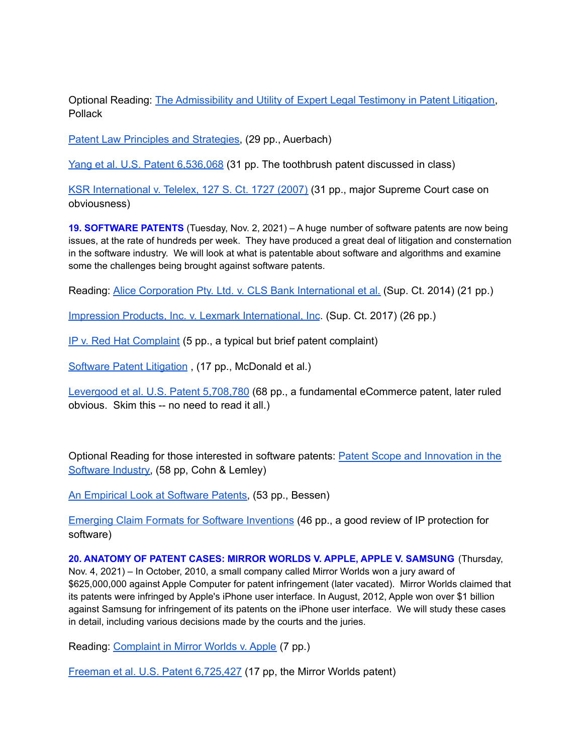Optional Reading: The [Admissibility](http://euro.ecom.cmu.edu/program/law/08-732/Patents/Experts.pdf) and Utility of Expert Legal Testimony in Patent Litigation, Pollack

Patent Law Principles and [Strategies,](http://euro.ecom.cmu.edu/program/law/08-732/Patents/PatentLawPrinciples.pdf) (29 pp., Auerbach)

Yang et al. U.S. Patent [6,536,068](http://euro.ecom.cmu.edu/program/law/08-732/Patents/YangEt6536068.pdf) (31 pp. The toothbrush patent discussed in class)

KSR [International](http://euro.ecom.cmu.edu/program/law/08-732/Patents/KSRvTeleflex04-1350.pdf) v. Telelex, 127 S. Ct. 1727 (2007) (31 pp., major Supreme Court case on obviousness)

**19. SOFTWARE PATENTS** (Tuesday, Nov. 2, 2021) – A huge number of software patents are now being issues, at the rate of hundreds per week. They have produced a great deal of litigation and consternation in the software industry. We will look at what is patentable about software and algorithms and examine some the challenges being brought against software patents.

Reading: Alice Corporation Pty. Ltd. v. CLS Bank [International](http://euro.ecom.cmu.edu/program/law/08-732/Patents/Alice.pdf) et al. (Sup. Ct. 2014) (21 pp.)

Impression Products, Inc. v. Lexmark [International,](http://euro.ecom.cmu.edu/program/law/08-732/Patents/ImpressionVLexmark.pdf) Inc. (Sup. Ct. 2017) (26 pp.)

IP v. Red Hat [Complaint](http://euro.ecom.cmu.edu/program/law/08-732/Patents/IPvRedHat.pdf) (5 pp., a typical but brief patent complaint)

Software Patent [Litigation](http://euro.ecom.cmu.edu/program/law/08-732/Patents/SoftwarePatentLitigation.pdf) , (17 pp., McDonald et al.)

[Levergood](http://euro.ecom.cmu.edu/program/law/08-732/Patents/LevergoodEt5708780.pdf) et al. U.S. Patent 5,708,780 (68 pp., a fundamental eCommerce patent, later ruled obvious. Skim this -- no need to read it all.[\)](http://euro.ecom.cmu.edu/program/law/08-732/Patents/HendersonEt6072412.pdf)

Optional Reading for those interested in software patents: Patent Scope and [Innovation](http://euro.ecom.cmu.edu/program/law/08-732/Patents/PatentScope.pdf) in the [Software](http://euro.ecom.cmu.edu/program/law/08-732/Patents/PatentScope.pdf) Industry, (58 pp, Cohn & Lemley)

An [Empirical](http://euro.ecom.cmu.edu/program/law/08-732/Patents/EmpiricalLook.pdf) Look at Software Patents, (53 pp., Bessen)

Emerging Claim Formats for Software [Inventions](http://euro.ecom.cmu.edu/program/law/08-732/Patents/ProtectionRegimes.pdf) (46 pp., a good review of IP protection for software)

**20. ANATOMY OF PATENT CASES: MIRROR WORLDS V. APPLE, APPLE V. SAMSUNG** (Thursday, Nov. 4, 2021) – In October, 2010, a small company called Mirror Worlds won a jury award of \$625,000,000 against Apple Computer for patent infringement (later vacated). Mirror Worlds claimed that its patents were infringed by Apple's iPhone user interface. In August, 2012, Apple won over \$1 billion against Samsung for infringement of its patents on the iPhone user interface. We will study these cases in detail, including various decisions made by the courts and the juries.

Reading: [Complaint](http://euro.ecom.cmu.edu/program/law/08-732/Patents/MWComplaint.pdf) in Mirror Worlds v. Apple (7 pp.)

Freeman et al. U.S. Patent [6,725,427](http://euro.ecom.cmu.edu/program/law/08-732/Patents/FreemanEt6725427.pdf) (17 pp, the Mirror Worlds patent)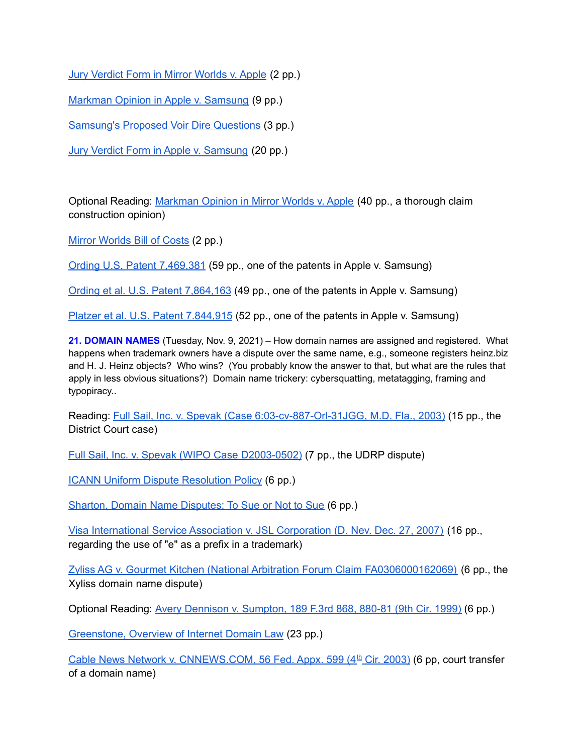Jury Verdict Form in Mirror [Worlds](http://euro.ecom.cmu.edu/program/law/08-732/Patents/MWVerdictForm.pdf) v. Apple (2 pp.)

Markman Opinion in Apple v. [Samsung](http://euro.ecom.cmu.edu/program/law/08-732/Patents/SamsungMarkman2.pdf) (9 pp.)

[Samsung's](http://euro.ecom.cmu.edu/program/law/08-732/Patents/SamsungsProposedVoirDire.pdf) Proposed Voir Dire Questions (3 pp.)

Jury Verdict Form in Apple v. [Samsung](http://euro.ecom.cmu.edu/program/law/08-732/Patents/SamsungVerdictForm.pdf) (20 pp.)

Optional Reading: [Markman](http://euro.ecom.cmu.edu/program/law/08-732/Patents/MWMarkman.pdf) Opinion in Mirror Worlds v. Apple (40 pp., a thorough claim construction opinion)

Mirror [Worlds](http://euro.ecom.cmu.edu/program/law/08-732/Patents/MWBillOfCosts.pdf) Bill of Costs (2 pp.)

Ording U.S. Patent [7,469,381](http://euro.ecom.cmu.edu/program/law/08-732/Patents/Ording7469381.pdf) (59 pp., one of the patents in Apple v. Samsung)

Ording et al. U.S. Patent [7,864,163](http://euro.ecom.cmu.edu/program/law/08-732/Patents/OrdingEt7864163.pdf) (49 pp., one of the patents in Apple v. Samsung)

Platzer et al. U.S. Patent [7.844,915](http://euro.ecom.cmu.edu/program/law/08-732/Patents/PlatzerEt7844915.pdf) (52 pp., one of the patents in Apple v. Samsung)

**21. DOMAIN NAMES** (Tuesday, Nov. 9, 2021) – How domain names are assigned and registered. What happens when trademark owners have a dispute over the same name, e.g., someone registers heinz.biz and H. J. Heinz objects? Who wins? (You probably know the answer to that, but what are the rules that apply in less obvious situations?) Domain name trickery: cybersquatting, metatagging, framing and typopiracy..

Reading: Full Sail, Inc. v. Spevak (Case [6:03-cv-887-Orl-31JGG,](http://euro.ecom.cmu.edu/program/law/08-732/DomainNames/FullSailVSpevackDistrictCourt.pdf) M.D. Fla., 2003) (15 pp., the District Court case)

Full Sail, Inc. v. Spevak (WIPO Case [D2003-0502\)](http://euro.ecom.cmu.edu/program/law/08-732/DomainNames/FullSailSucks.pdf) (7 pp., the UDRP dispute)

ICANN Uniform Dispute [Resolution](http://euro.ecom.cmu.edu/program/law/08-732/DomainNames/UniformDisputeResolution.pdf) Policy (6 pp.)

Sharton, Domain Name [Disputes:](http://euro.ecom.cmu.edu/program/law/08-732/DomainNames/DomainNameDisputes.pdf) To Sue or Not to Sue (6 pp.)

Visa [International](http://euro.ecom.cmu.edu/program/law/08-732/DomainNames/VisaInternationalvJSLCorp.pdf) Service Association v. JSL Corporation (D. Nev. Dec. 27, 2007) (16 pp., regarding the use of "e" as a prefix in a trademark)

Zyliss AG v. Gourmet Kitchen (National Arbitration Forum Claim [FA0306000162069\)](http://euro.ecom.cmu.edu/program/law/08-732/DomainNames/ZylissDispute.pdf) (6 pp., the Xyliss domain name dispute)

Optional Reading: Avery Dennison v. [Sumpton,](http://euro.ecom.cmu.edu/program/law/08-732/DomainNames/AveryVSumpton.pdf) 189 F.3rd 868, 880-81 (9th Cir. 1999) (6 pp.)

[Greenstone,](http://euro.ecom.cmu.edu/program/law/08-732/DomainNames/Greenstone.pdf) Overview of Internet Domain Law (23 pp.)

Cable News Network v. [CNNEWS.COM,](http://euro.ecom.cmu.edu/program/law/08-732/DomainNames/CableNewsNetworkVcnnews-com.pdf) 56 Fed. Appx. 599 (4<sup>th</sup> Cir. 2003) (6 pp, court transfer of a domain name)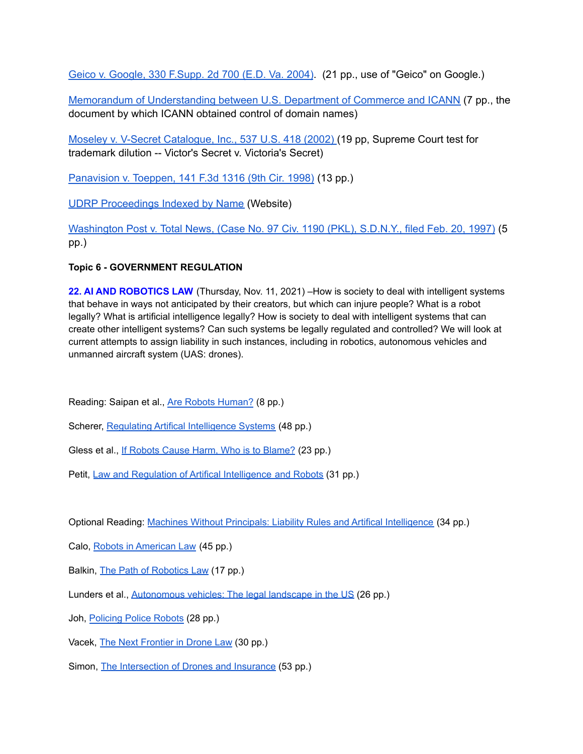Geico v. [Google,](http://euro.ecom.cmu.edu/program/law/08-732/DomainNames/GEICOvGoogle.pdf) 330 F.Supp. 2d 700 (E.D. Va. 2004). (21 pp., use of "Geico" on Google.)

Memorandum of [Understanding](http://euro.ecom.cmu.edu/program/law/08-732/DomainNames/MOU.pdf) between U.S. Department of Commerce and ICANN (7 pp., the document by which ICANN obtained control of domain names)

Moseley v. V-Secret [Catalogue,](http://euro.ecom.cmu.edu/program/law/08-732/DomainNames/MoseleyvVSecretCatalogue.pdf) Inc., 537 U.S. 418 (2002) (19 pp, Supreme Court test for trademark dilution -- Victor's Secret v. Victoria's Secret)

[Panavision](http://euro.ecom.cmu.edu/program/law/08-732/DomainNames/PanavisionVToeppen.pdf) v. Toeppen, 141 F.3d 1316 (9th Cir. 1998) (13 pp.)

UDRP [Proceedings](http://archive.icann.org/en/udrp/proceedings-list.htm) Indexed by Name (Website)

[Washington](http://euro.ecom.cmu.edu/program/law/08-732/DomainNames/WashingtonPostVTotalNews.pdf) Post v. Total News, (Case No. 97 Civ. 1190 (PKL), S.D.N.Y., filed Feb. 20, 1997) (5 pp.)

**Topic 6 - GOVERNMENT REGULATION**

**22. AI AND ROBOTICS LAW** (Thursday, Nov. 11, 2021) –How is society to deal with intelligent systems that behave in ways not anticipated by their creators, but which can injure people? What is a robot legally? What is artificial intelligence legally? How is society to deal with intelligent systems that can create other intelligent systems? Can such systems be legally regulated and controlled? We will look at current attempts to assign liability in such instances, including in robotics, autonomous vehicles and unmanned aircraft system (UAS: drones).

Reading: Saipan et al., Are Robots [Human?](http://euro.ecom.cmu.edu/program/law/08-732/AI/AreRobotsHuman.pdf) (8 pp.)

Scherer, Regulating Artifical [Intelligence](http://euro.ecom.cmu.edu/program/law/08-732/AI/Scherer.pdf) Systems (48 pp.)

Gless et al., If Robots Cause Harm, Who is to [Blame?](http://euro.ecom.cmu.edu/program/law/08-732/AI/Gless.pdf) (23 pp.)

Petit, Law and Regulation of Artifical [Intelligence](http://euro.ecom.cmu.edu/program/law/08-732/AI/Petit.pdf) and Robots (31 pp.)

Optional Reading: Machines Without Principals: Liability Rules and Artifical [Intelligence](http://euro.ecom.cmu.edu/program/law/08-732/AI/Vladeck.pdf) (34 pp.)

Calo, Robots in [American](http://euro.ecom.cmu.edu/program/law/08-732/AI/Calo.pdf) Law (45 pp.)

Balkin, The Path of [Robotics](http://euro.ecom.cmu.edu/program/law/08-732/AI/Balkin.pdf) Law (17 pp.)

Lunders et al., [Autonomous](http://euro.ecom.cmu.edu/program/law/08-732/AI/Lunders.pdf) vehicles: The legal landscape in the US (26 pp.)

Joh, [Policing](http://euro.ecom.cmu.edu/program/law/08-732/AI/Joh.pdf) Police Robots (28 pp.)

Vacek, The Next [Frontier](http://euro.ecom.cmu.edu/program/law/08-732/AI/Vacek.pdf) in Drone Law (30 pp.)

Simon, The [Intersection](http://euro.ecom.cmu.edu/program/law/08-732/AI/Simon.pdf) of Drones and Insurance (53 pp.)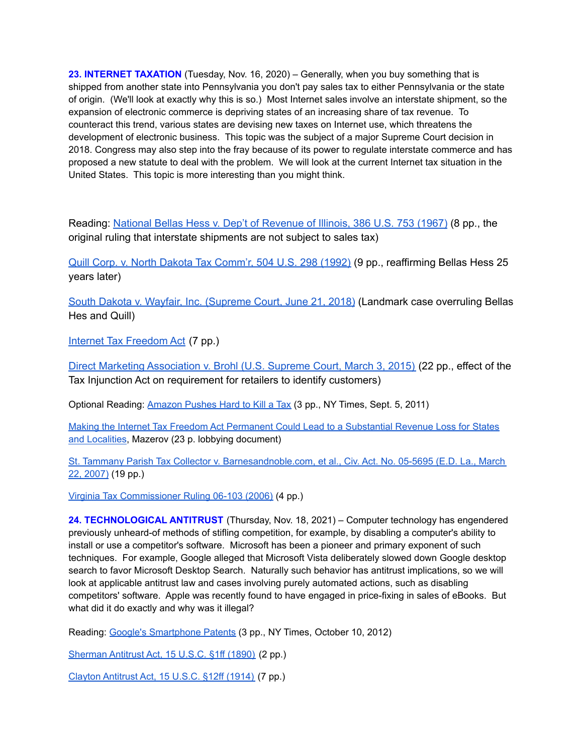**23. INTERNET TAXATION** (Tuesday, Nov. 16, 2020) – Generally, when you buy something that is shipped from another state into Pennsylvania you don't pay sales tax to either Pennsylvania or the state of origin. (We'll look at exactly why this is so.) Most Internet sales involve an interstate shipment, so the expansion of electronic commerce is depriving states of an increasing share of tax revenue. To counteract this trend, various states are devising new taxes on Internet use, which threatens the development of electronic business. This topic was the subject of a major Supreme Court decision in 2018. Congress may also step into the fray because of its power to regulate interstate commerce and has proposed a new statute to deal with the problem. We will look at the current Internet tax situation in the United States. This topic is more interesting than you might think.

Reading: National Bellas Hess v. Dep't of [Revenue](http://euro.ecom.cmu.edu/program/law/08-732/Tax/NationalBellasHess.pdf) of Illinois, 386 U.S. 753 (1967) (8 pp., the original ruling that interstate shipments are not subject to sales tax)

Quill Corp. v. North Dakota Tax [Comm'r,](http://euro.ecom.cmu.edu/program/law/08-732/Tax/Quill.pdf) 504 U.S. 298 (1992) (9 pp., reaffirming Bellas Hess 25 years later)

South Dakota v. Wayfair, Inc. [\(Supreme](http://euro.ecom.cmu.edu/program/law/08-732/Tax/SDvWayfair.pdf) Court, June 21, 2018) (Landmark case overruling Bellas Hes and Quill)

Internet Tax [Freedom](http://euro.ecom.cmu.edu/program/law/08-732/Tax/InternetTaxFreedomAct.pdf) Act (7 pp.)

Direct Marketing [Association](http://euro.ecom.cmu.edu/program/law/08-732/Tax/DMAvBrohl-tax.pdf) v. Brohl (U.S. Supreme Court, March 3, 2015) (22 pp., effect of the Tax Injunction Act on requirement for retailers to identify customers)

Optional Reading: [Amazon](http://euro.ecom.cmu.edu/program/law/08-732/Tax/AmazonTax2.pdf) Pushes Hard to Kill a Tax (3 pp., NY Times, Sept. 5, 2011)

Making the Internet Tax Freedom Act Permanent Could Lead to a [Substantial](http://euro.ecom.cmu.edu/program/law/08-732/Tax/ITFAlobbying.pdf) Revenue Loss for States and [Localities](http://euro.ecom.cmu.edu/program/law/08-732/Tax/ITFAlobbying.pdf), Mazerov (23 p. lobbying document)

St. Tammany Parish Tax Collector v. [Barnesandnoble.com,](http://euro.ecom.cmu.edu/program/law/08-732/Tax/StTammanyParish.pdf) et al., Civ. Act. No. 05-5695 (E.D. La., March 22, [2007\)](http://euro.ecom.cmu.edu/program/law/08-732/Tax/StTammanyParish.pdf) (19 pp.)

Virginia Tax [Commissioner](http://euro.ecom.cmu.edu/program/law/08-732/Tax/VATaxCommr06-103.pdf) Ruling 06-103 (2006) (4 pp.)

**24. TECHNOLOGICAL ANTITRUST** (Thursday, Nov. 18, 2021) – Computer technology has engendered previously unheard-of methods of stifling competition, for example, by disabling a computer's ability to install or use a competitor's software. Microsoft has been a pioneer and primary exponent of such techniques. For example, Google alleged that Microsoft Vista deliberately slowed down Google desktop search to favor Microsoft Desktop Search. Naturally such behavior has antitrust implications, so we will look at applicable antitrust law and cases involving purely automated actions, such as disabling competitors' software. Apple was recently found to have engaged in price-fixing in sales of eBooks. But what did it do exactly and why was it illegal?

Reading: Google's [Smartphone](http://euro.ecom.cmu.edu/program/law/08-732/Antitrust/20121010GoogleSmartphonePatents.pdf) Patents (3 pp., NY Times, October 10, 2012)

[Sherman](http://euro.ecom.cmu.edu/program/law/08-732/Antitrust/ShermanAct.pdf) Antitrust Act, 15 U.S.C. §1ff (1890) (2 pp.)

Clayton [Antitrust](http://euro.ecom.cmu.edu/program/law/08-732/Antitrust/ClaytonAct.pdf) Act, 15 U.S.C. §12ff (1914) (7 pp.)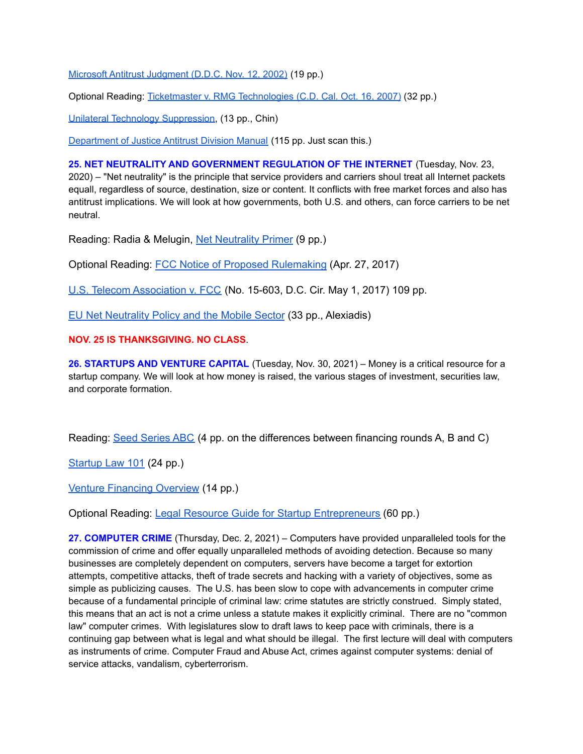Microsoft Antitrust [Judgment](http://euro.ecom.cmu.edu/program/law/08-732/Antitrust/MicrosoftAntitrust.pdf) (D.D.C. Nov. 12, 2002) (19 pp.)

Optional Reading: Ticketmaster v. RMG [Technologies](http://euro.ecom.cmu.edu/program/law/08-732/Antitrust/TicketMasterVRMG.pdf) (C.D. Cal. Oct. 16, 2007) (32 pp.)

Unilateral Technology [Suppression,](http://euro.ecom.cmu.edu/program/law/08-732/Antitrust/UnilateralSuppression.pdf) (13 pp., Chin)

[Department](http://euro.ecom.cmu.edu/program/law/08-732/Antitrust/AntitrustDivisionManual.pdf) of Justice Antitrust Division Manual (115 pp. Just scan this.)

**25. NET NEUTRALITY AND GOVERNMENT REGULATION OF THE INTERNET** (Tuesday, Nov. 23, 2020) – "Net neutrality" is the principle that service providers and carriers shoul treat all Internet packets equall, regardless of source, destination, size or content. It conflicts with free market forces and also has antitrust implications. We will look at how governments, both U.S. and others, can force carriers to be net neutral.

Reading: Radia & Melugin, Net [Neutrality](http://euro.ecom.cmu.edu/program/law/08-732/Neutrality/Primer.pdf) Primer (9 pp.)

Optional Reading: FCC Notice of Proposed [Rulemaking](http://euro.ecom.cmu.edu/program/law/08-732/Neutrality/ProposedRule.pdf) (Apr. 27, 2017)

U.S. Telecom [Association](http://euro.ecom.cmu.edu/program/law/08-732/Neutrality/USTelecom.pdf) v. FCC (No. 15-603, D.C. Cir. May 1, 2017) 109 pp.

EU Net [Neutrality](http://euro.ecom.cmu.edu/program/law/08-732/Neutrality/EUNeutrality.pdf) Policy and the Mobile Sector (33 pp., Alexiadis)

**NOV. 25 IS THANKSGIVING. NO CLASS**.

**26. STARTUPS AND VENTURE CAPITAL** (Tuesday, Nov. 30, 2021) – Money is a critical resource for a startup company. We will look at how money is raised, the various stages of investment, securities law, and corporate formation.

Reading: Seed [Series](http://euro.ecom.cmu.edu/program/law/08-732/Startups/SeedSeriesABC.pdf) ABC (4 pp. on the differences between financing rounds A, B and C)

[Startup](http://euro.ecom.cmu.edu/program/law/08-732/Startups/startup-law-101-for-entrepreneurs.pdf) Law 101 (24 pp.)

Venture [Financing](http://euro.ecom.cmu.edu/program/law/08-732/Startups/Venture-Financing-Overview.pdf) Overview (14 pp.)

Optional Reading: Legal Resource Guide for Startup [Entrepreneurs](http://euro.ecom.cmu.edu/program/law/08-732/Startups/Legal-Resource-Guide.pdf) (60 pp.)

**27. COMPUTER CRIME** (Thursday, Dec. 2, 2021) – Computers have provided unparalleled tools for the commission of crime and offer equally unparalleled methods of avoiding detection. Because so many businesses are completely dependent on computers, servers have become a target for extortion attempts, competitive attacks, theft of trade secrets and hacking with a variety of objectives, some as simple as publicizing causes. The U.S. has been slow to cope with advancements in computer crime because of a fundamental principle of criminal law: crime statutes are strictly construed. Simply stated, this means that an act is not a crime unless a statute makes it explicitly criminal. There are no "common law" computer crimes. With legislatures slow to draft laws to keep pace with criminals, there is a continuing gap between what is legal and what should be illegal. The first lecture will deal with computers as instruments of crime. Computer Fraud and Abuse Act, crimes against computer systems: denial of service attacks, vandalism, cyberterrorism.